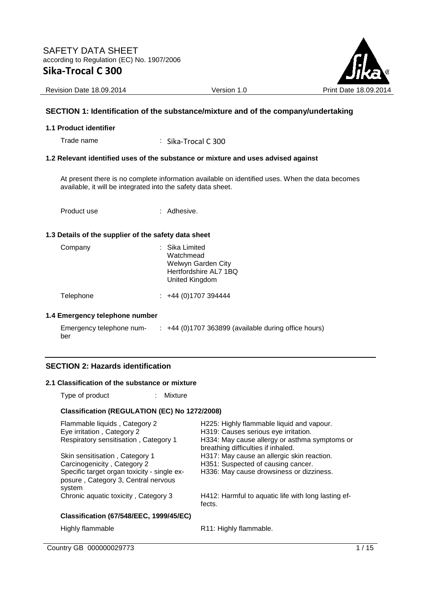

Revision Date 18.09.2014 Version 1.0 Version 1.0 Print Date 18.09.2014

## **SECTION 1: Identification of the substance/mixture and of the company/undertaking**

#### **1.1 Product identifier**

Trade name : Sika-Trocal C 300

## **1.2 Relevant identified uses of the substance or mixture and uses advised against**

At present there is no complete information available on identified uses. When the data becomes available, it will be integrated into the safety data sheet.

Product use : Adhesive.

#### **1.3 Details of the supplier of the safety data sheet**

| : Sika Limited<br>Watchmead<br>Welwyn Garden City<br>Hertfordshire AL7 1BQ<br>United Kingdom |
|----------------------------------------------------------------------------------------------|
|                                                                                              |

Telephone : +44 (0)1707 394444

#### **1.4 Emergency telephone number**

| Emergency telephone num- | +44 (0)1707 363899 (available during office hours) |
|--------------------------|----------------------------------------------------|
| ber                      |                                                    |

## **SECTION 2: Hazards identification**

#### **2.1 Classification of the substance or mixture**

Type of product : Mixture

#### **Classification (REGULATION (EC) No 1272/2008)**

| Flammable liquids, Category 2<br>Eye irritation, Category 2<br>Respiratory sensitisation, Category 1                                                          | H225: Highly flammable liquid and vapour.<br>H319: Causes serious eye irritation.<br>H334: May cause allergy or asthma symptoms or<br>breathing difficulties if inhaled. |
|---------------------------------------------------------------------------------------------------------------------------------------------------------------|--------------------------------------------------------------------------------------------------------------------------------------------------------------------------|
| Skin sensitisation, Category 1<br>Carcinogenicity, Category 2<br>Specific target organ toxicity - single ex-<br>posure, Category 3, Central nervous<br>system | H317: May cause an allergic skin reaction.<br>H351: Suspected of causing cancer.<br>H336: May cause drowsiness or dizziness.                                             |
| Chronic aquatic toxicity, Category 3                                                                                                                          | H412: Harmful to aquatic life with long lasting ef-<br>fects.                                                                                                            |
| <b>Classification (67/548/EEC, 1999/45/EC)</b>                                                                                                                |                                                                                                                                                                          |
| Highly flammable                                                                                                                                              | R11: Highly flammable.                                                                                                                                                   |

Country GB 000000029773 1/15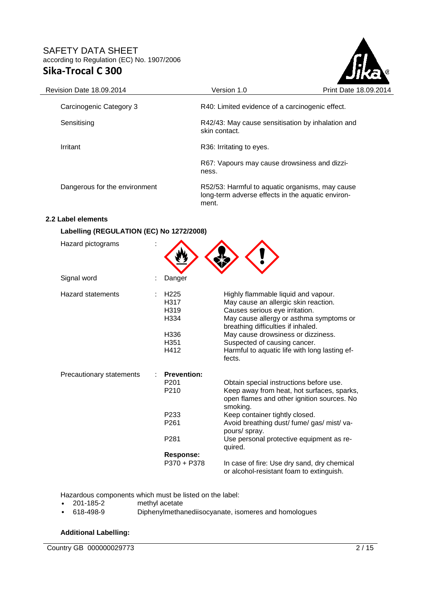

| <b>Revision Date 18.09.2014</b> | Version 1.0                                                                                                   | <b>Print Date 18</b> |
|---------------------------------|---------------------------------------------------------------------------------------------------------------|----------------------|
| Carcinogenic Category 3         | R40: Limited evidence of a carcinogenic effect.                                                               |                      |
| Sensitising                     | R42/43: May cause sensitisation by inhalation and<br>skin contact.                                            |                      |
| Irritant                        | R36: Irritating to eyes.                                                                                      |                      |
|                                 | R67: Vapours may cause drowsiness and dizzi-<br>ness.                                                         |                      |
| Dangerous for the environment   | R52/53: Harmful to aquatic organisms, may cause<br>long-term adverse effects in the aquatic environ-<br>ment. |                      |

# **2.2 Label elements**

## **Labelling (REGULATION (EC) No 1272/2008)**

| Hazard pictograms        |                                                                                                                                |                                                                                                                                                                                                                                                                                                                                 |
|--------------------------|--------------------------------------------------------------------------------------------------------------------------------|---------------------------------------------------------------------------------------------------------------------------------------------------------------------------------------------------------------------------------------------------------------------------------------------------------------------------------|
| Signal word              | Danger                                                                                                                         |                                                                                                                                                                                                                                                                                                                                 |
| <b>Hazard statements</b> | H <sub>225</sub><br>H317<br>H319<br>H334<br>H336<br>H <sub>351</sub><br>H412                                                   | Highly flammable liquid and vapour.<br>May cause an allergic skin reaction.<br>Causes serious eye irritation.<br>May cause allergy or asthma symptoms or<br>breathing difficulties if inhaled.<br>May cause drowsiness or dizziness.<br>Suspected of causing cancer.<br>Harmful to aquatic life with long lasting ef-<br>fects. |
| Precautionary statements | <b>Prevention:</b><br>P <sub>201</sub><br>P210<br>P <sub>233</sub><br>P <sub>261</sub><br>P <sub>281</sub><br><b>Response:</b> | Obtain special instructions before use.<br>Keep away from heat, hot surfaces, sparks,<br>open flames and other ignition sources. No<br>smoking.<br>Keep container tightly closed.<br>Avoid breathing dust/ fume/ gas/ mist/ va-<br>pours/ spray.<br>Use personal protective equipment as re-<br>quired.                         |
|                          | P370 + P378                                                                                                                    | In case of fire: Use dry sand, dry chemical<br>or alcohol-resistant foam to extinguish.                                                                                                                                                                                                                                         |

Hazardous components which must be listed on the label:<br>• 201-185-2 methyl acetate

- methyl acetate
- 618-498-9 Diphenylmethanediisocyanate, isomeres and homologues

## **Additional Labelling:**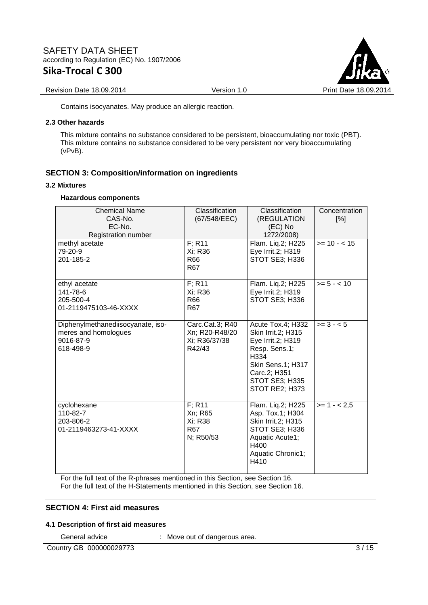

#### Revision Date 18.09.2014 Version 1.0 Version 1.0 Print Date 18.09.2014

Contains isocyanates. May produce an allergic reaction.

#### **2.3 Other hazards**

This mixture contains no substance considered to be persistent, bioaccumulating nor toxic (PBT). This mixture contains no substance considered to be very persistent nor very bioaccumulating (vPvB).

## **SECTION 3: Composition/information on ingredients**

#### **3.2 Mixtures**

## **Hazardous components**

| <b>Chemical Name</b><br>CAS-No.<br>EC-No.<br>Registration number                    | Classification<br>(67/548/EEC)                                              | Classification<br>(REGULATION<br>(EC) No<br>1272/2008)                                                                                                         | Concentration<br>[%] |
|-------------------------------------------------------------------------------------|-----------------------------------------------------------------------------|----------------------------------------------------------------------------------------------------------------------------------------------------------------|----------------------|
| methyl acetate<br>79-20-9<br>201-185-2                                              | F: R11<br>Xi; R36<br><b>R66</b><br><b>R67</b>                               | Flam. Liq.2; H225<br>Eye Irrit.2; H319<br>STOT SE3; H336                                                                                                       | $>= 10 - < 15$       |
| ethyl acetate<br>141-78-6<br>205-500-4<br>01-2119475103-46-XXXX                     | $F$ ; R <sub>11</sub><br>Xi; R36<br>R66<br>R <sub>67</sub>                  | Flam. Liq.2; H225<br>Eye Irrit.2; H319<br>STOT SE3; H336                                                                                                       | $>= 5 - < 10$        |
| Diphenylmethanediisocyanate, iso-<br>meres and homologues<br>9016-87-9<br>618-498-9 | Carc.Cat.3; R40<br>Xn; R20-R48/20<br>Xi; R36/37/38<br>R42/43                | Acute Tox.4; H332<br>Skin Irrit.2; H315<br>Eye Irrit.2; H319<br>Resp. Sens.1;<br>H334<br>Skin Sens.1; H317<br>Carc.2; H351<br>STOT SE3; H335<br>STOT RE2; H373 | $>= 3 - 5$           |
| cyclohexane<br>110-82-7<br>203-806-2<br>01-2119463273-41-XXXX                       | $F$ ; R <sub>11</sub><br>Xn; R65<br>Xi; R38<br>R <sub>67</sub><br>N; R50/53 | Flam. Liq.2; H225<br>Asp. Tox.1; H304<br>Skin Irrit.2; H315<br>STOT SE3; H336<br>Aquatic Acute1;<br>H400<br>Aquatic Chronic1;<br>H410                          | $>= 1 - 2.5$         |

For the full text of the R-phrases mentioned in this Section, see Section 16.

For the full text of the H-Statements mentioned in this Section, see Section 16.

# **SECTION 4: First aid measures**

## **4.1 Description of first aid measures**

General advice : Move out of dangerous area.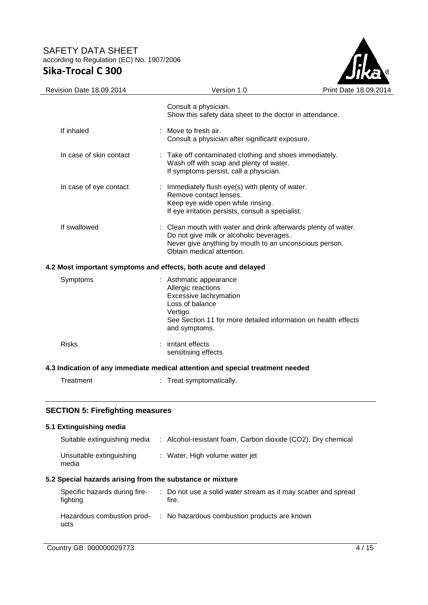

| Revision Date 18.09.2014                                        | Version 1.0                                                                                                                                                                                       | Print Date 18.0 |
|-----------------------------------------------------------------|---------------------------------------------------------------------------------------------------------------------------------------------------------------------------------------------------|-----------------|
|                                                                 | Consult a physician.<br>Show this safety data sheet to the doctor in attendance.                                                                                                                  |                 |
| If inhaled                                                      | : Move to fresh air.<br>Consult a physician after significant exposure.                                                                                                                           |                 |
| In case of skin contact                                         | : Take off contaminated clothing and shoes immediately.<br>Wash off with soap and plenty of water.<br>If symptoms persist, call a physician.                                                      |                 |
| In case of eye contact                                          | : Immediately flush eye(s) with plenty of water.<br>Remove contact lenses.<br>Keep eye wide open while rinsing.<br>If eye irritation persists, consult a specialist.                              |                 |
| If swallowed                                                    | : Clean mouth with water and drink afterwards plenty of water.<br>Do not give milk or alcoholic beverages.<br>Never give anything by mouth to an unconscious person.<br>Obtain medical attention. |                 |
| 4.2 Most important symptoms and effects, both acute and delayed |                                                                                                                                                                                                   |                 |
| Symptoms                                                        | : Asthmatic appearance<br>Allergic reactions<br>Excessive lachrymation<br>Loss of balance<br>Vertigo<br>See Section 11 for more detailed information on health effects<br>and symptoms.           |                 |
| <b>Risks</b>                                                    | : irritant effects<br>sensitising effects                                                                                                                                                         |                 |
|                                                                 | 4.3 Indication of any immediate medical attention and special treatment needed                                                                                                                    |                 |

| Treatment | Treat symptomatically. |
|-----------|------------------------|
|-----------|------------------------|

## **SECTION 5: Firefighting measures**

## **5.1 Extinguishing media**  Suitable extinguishing media : Alcohol-resistant foam, Carbon dioxide (CO2), Dry chemical Unsuitable extinguishing media : Water, High volume water jet **5.2 Special hazards arising from the substance or mixture**  Specific hazards during firefighting : Do not use a solid water stream as it may scatter and spread fire. Hazardous combustion prod-: No hazardous combustion products are known ucts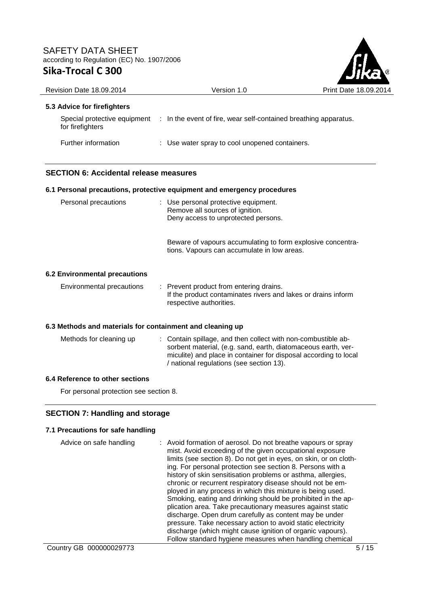

| Revision Date 18.09.2014                      | Version 1.0                                                                                                    | Print Date 18,09,2014 |
|-----------------------------------------------|----------------------------------------------------------------------------------------------------------------|-----------------------|
| 5.3 Advice for firefighters                   |                                                                                                                |                       |
| for firefighters                              | Special protective equipment : In the event of fire, wear self-contained breathing apparatus.                  |                       |
| Further information                           | : Use water spray to cool unopened containers.                                                                 |                       |
| <b>SECTION 6: Accidental release measures</b> |                                                                                                                |                       |
|                                               | 6.1 Personal precautions, protective equipment and emergency procedures                                        |                       |
| Personal precautions                          | : Use personal protective equipment.<br>Remove all sources of ignition.<br>Deny access to unprotected persons. |                       |
|                                               | Beware of vapours accumulating to form explosive concentra-<br>tions. Vapours can accumulate in low areas.     |                       |
| 6.2 Environmental precautions                 |                                                                                                                |                       |
| Environmental precautions                     | : Prevent product from entering drains.                                                                        |                       |

# **6.3 Methods and materials for containment and cleaning up**

| Methods for cleaning up | : Contain spillage, and then collect with non-combustible ab-<br>sorbent material, (e.g. sand, earth, diatomaceous earth, ver-<br>miculite) and place in container for disposal according to local<br>/ national regulations (see section 13). |
|-------------------------|------------------------------------------------------------------------------------------------------------------------------------------------------------------------------------------------------------------------------------------------|
|                         |                                                                                                                                                                                                                                                |

respective authorities.

If the product contaminates rivers and lakes or drains inform

# **6.4 Reference to other sections**

For personal protection see section 8.

# **SECTION 7: Handling and storage**

# **7.1 Precautions for safe handling**

| Advice on safe handling | : Avoid formation of aerosol. Do not breathe vapours or spray<br>mist. Avoid exceeding of the given occupational exposure<br>limits (see section 8). Do not get in eyes, on skin, or on cloth-<br>ing. For personal protection see section 8. Persons with a<br>history of skin sensitisation problems or asthma, allergies,<br>chronic or recurrent respiratory disease should not be em-<br>ployed in any process in which this mixture is being used.<br>Smoking, eating and drinking should be prohibited in the ap-<br>plication area. Take precautionary measures against static<br>discharge. Open drum carefully as content may be under |
|-------------------------|--------------------------------------------------------------------------------------------------------------------------------------------------------------------------------------------------------------------------------------------------------------------------------------------------------------------------------------------------------------------------------------------------------------------------------------------------------------------------------------------------------------------------------------------------------------------------------------------------------------------------------------------------|
|                         | pressure. Take necessary action to avoid static electricity<br>discharge (which might cause ignition of organic vapours).                                                                                                                                                                                                                                                                                                                                                                                                                                                                                                                        |
|                         | Follow standard hygiene measures when handling chemical                                                                                                                                                                                                                                                                                                                                                                                                                                                                                                                                                                                          |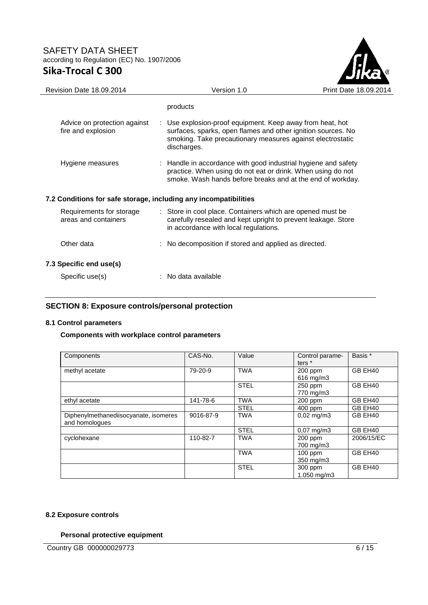

| Revision Date 18.09.2014                                         | Version 1.0                                                                                                                                                                                            | Print Date 18.09.2014 |
|------------------------------------------------------------------|--------------------------------------------------------------------------------------------------------------------------------------------------------------------------------------------------------|-----------------------|
|                                                                  | products                                                                                                                                                                                               |                       |
| Advice on protection against<br>fire and explosion               | : Use explosion-proof equipment. Keep away from heat, hot<br>surfaces, sparks, open flames and other ignition sources. No<br>smoking. Take precautionary measures against electrostatic<br>discharges. |                       |
| Hygiene measures                                                 | : Handle in accordance with good industrial hygiene and safety<br>practice. When using do not eat or drink. When using do not<br>smoke. Wash hands before breaks and at the end of workday.            |                       |
| 7.2 Conditions for safe storage, including any incompatibilities |                                                                                                                                                                                                        |                       |
| Requirements for storage<br>areas and containers                 | : Store in cool place. Containers which are opened must be<br>carefully resealed and kept upright to prevent leakage. Store<br>in accordance with local regulations.                                   |                       |
| Other data                                                       | : No decomposition if stored and applied as directed.                                                                                                                                                  |                       |
| 7.3 Specific end use(s)                                          |                                                                                                                                                                                                        |                       |
| Specific use(s)                                                  | : No data available                                                                                                                                                                                    |                       |

## **SECTION 8: Exposure controls/personal protection**

## **8.1 Control parameters**

## **Components with workplace control parameters**

| Components                                              | CAS-No.   | Value       | Control parame-<br>ters * | Basis *    |
|---------------------------------------------------------|-----------|-------------|---------------------------|------------|
| methyl acetate                                          | 79-20-9   | <b>TWA</b>  | 200 ppm<br>616 mg/m3      | GB EH40    |
|                                                         |           | <b>STEL</b> | 250 ppm<br>770 mg/m3      | GB EH40    |
| ethyl acetate                                           | 141-78-6  | <b>TWA</b>  | $200$ ppm                 | GB EH40    |
|                                                         |           | <b>STEL</b> | $400$ ppm                 | GB EH40    |
| Diphenylmethanediisocyanate, isomeres<br>and homologues | 9016-87-9 | <b>TWA</b>  | $0,02 \text{ mg/m}3$      | GB EH40    |
|                                                         |           | <b>STEL</b> | $0.07 \text{ mg/m}$ 3     | GB EH40    |
| cyclohexane                                             | 110-82-7  | <b>TWA</b>  | 200 ppm<br>700 mg/m3      | 2006/15/EC |
|                                                         |           | <b>TWA</b>  | $100$ ppm<br>350 mg/m3    | GB EH40    |
|                                                         |           | <b>STEL</b> | 300 ppm<br>1.050 mg/m3    | GB EH40    |

## **8.2 Exposure controls**

## **Personal protective equipment**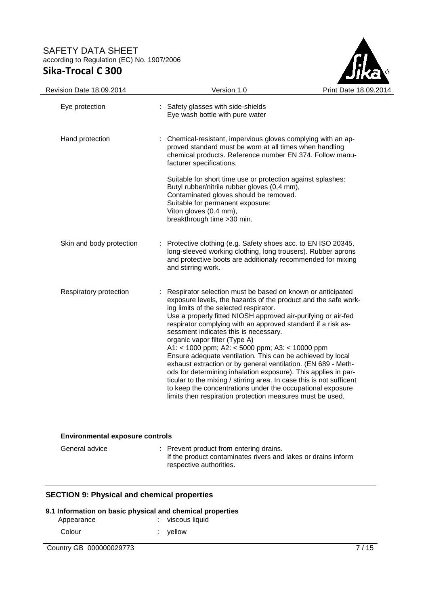

| <b>Revision Date 18.09.2014</b> | Version 1.0                                                                                                                                                                                                                                                                                                                                                                                                                                                                                                                                                                                                                                                                                                                                                                                                                              | Print Date 18.0 |
|---------------------------------|------------------------------------------------------------------------------------------------------------------------------------------------------------------------------------------------------------------------------------------------------------------------------------------------------------------------------------------------------------------------------------------------------------------------------------------------------------------------------------------------------------------------------------------------------------------------------------------------------------------------------------------------------------------------------------------------------------------------------------------------------------------------------------------------------------------------------------------|-----------------|
| Eye protection                  | : Safety glasses with side-shields<br>Eye wash bottle with pure water                                                                                                                                                                                                                                                                                                                                                                                                                                                                                                                                                                                                                                                                                                                                                                    |                 |
| Hand protection                 | : Chemical-resistant, impervious gloves complying with an ap-<br>proved standard must be worn at all times when handling<br>chemical products. Reference number EN 374. Follow manu-<br>facturer specifications.                                                                                                                                                                                                                                                                                                                                                                                                                                                                                                                                                                                                                         |                 |
|                                 | Suitable for short time use or protection against splashes:<br>Butyl rubber/nitrile rubber gloves (0,4 mm),<br>Contaminated gloves should be removed.<br>Suitable for permanent exposure:<br>Viton gloves (0.4 mm),<br>breakthrough time > 30 min.                                                                                                                                                                                                                                                                                                                                                                                                                                                                                                                                                                                       |                 |
| Skin and body protection        | : Protective clothing (e.g. Safety shoes acc. to EN ISO 20345,<br>long-sleeved working clothing, long trousers). Rubber aprons<br>and protective boots are additionaly recommended for mixing<br>and stirring work.                                                                                                                                                                                                                                                                                                                                                                                                                                                                                                                                                                                                                      |                 |
| Respiratory protection          | Respirator selection must be based on known or anticipated<br>exposure levels, the hazards of the product and the safe work-<br>ing limits of the selected respirator.<br>Use a properly fitted NIOSH approved air-purifying or air-fed<br>respirator complying with an approved standard if a risk as-<br>sessment indicates this is necessary.<br>organic vapor filter (Type A)<br>A1: < 1000 ppm; A2: < 5000 ppm; A3: < 10000 ppm<br>Ensure adequate ventilation. This can be achieved by local<br>exhaust extraction or by general ventilation. (EN 689 - Meth-<br>ods for determining inhalation exposure). This applies in par-<br>ticular to the mixing / stirring area. In case this is not sufficent<br>to keep the concentrations under the occupational exposure<br>limits then respiration protection measures must be used. |                 |

## **Environmental exposure controls**

| General advice | : Prevent product from entering drains.<br>If the product contaminates rivers and lakes or drains inform |
|----------------|----------------------------------------------------------------------------------------------------------|
|                | respective authorities.                                                                                  |

## **SECTION 9: Physical and chemical properties**

## **9.1 Information on basic physical and chemical properties**

| Appearance |  | : viscous liquid |  |
|------------|--|------------------|--|
| Colour     |  | : vellow         |  |

**Country GB 000000029773** 7/15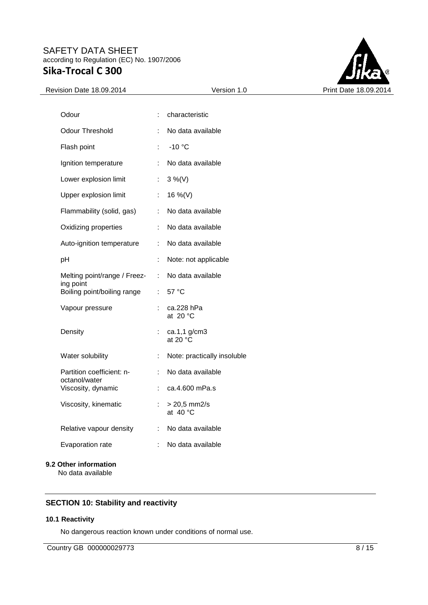

| Odour                                      | ÷                            | characteristic                    |
|--------------------------------------------|------------------------------|-----------------------------------|
| <b>Odour Threshold</b>                     | ÷                            | No data available                 |
| Flash point                                | Ì.                           | $-10$ °C                          |
| Ignition temperature                       | ÷.                           | No data available                 |
| Lower explosion limit                      | ÷.                           | $3\%$ (V)                         |
| Upper explosion limit                      | ÷.                           | 16 %(V)                           |
| Flammability (solid, gas)                  | ÷.                           | No data available                 |
| Oxidizing properties                       | ÷                            | No data available                 |
| Auto-ignition temperature                  | $\mathbb{R}^{\mathbb{Z}}$    | No data available                 |
| pH                                         | ÷                            | Note: not applicable              |
| Melting point/range / Freez-<br>ing point  | $\mathcal{L}_{\mathrm{max}}$ | No data available                 |
| Boiling point/boiling range                |                              | : $57^{\circ}$ C                  |
| Vapour pressure                            | ÷                            | ca.228 hPa<br>at $20 °C$          |
| Density                                    | ÷                            | ca.1,1 g/cm3<br>at 20 $\degree$ C |
| Water solubility                           | t.                           | Note: practically insoluble       |
| Partition coefficient: n-<br>octanol/water | ÷                            | No data available                 |
| Viscosity, dynamic                         | ÷.                           | ca.4.600 mPa.s                    |
| Viscosity, kinematic                       | ÷                            | $> 20,5$ mm2/s<br>at 40 °C        |
| Relative vapour density                    | ÷.                           | No data available                 |
| Evaporation rate                           |                              | No data available                 |
| 9.2 Other information                      |                              |                                   |

No data available

# **SECTION 10: Stability and reactivity**

## **10.1 Reactivity**

No dangerous reaction known under conditions of normal use.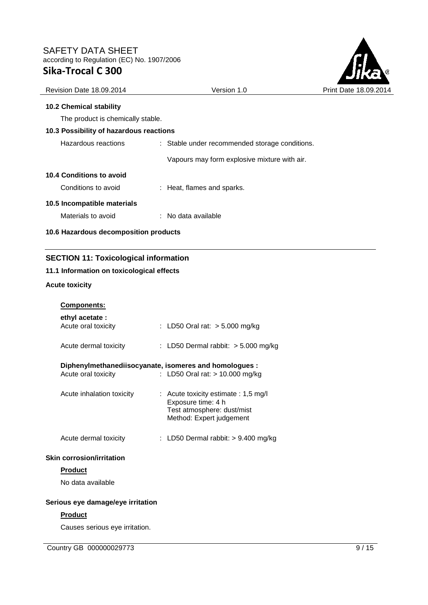

| Revision Date 18.09.2014                | Version 1.0                                    | Print Da |
|-----------------------------------------|------------------------------------------------|----------|
| <b>10.2 Chemical stability</b>          |                                                |          |
| The product is chemically stable.       |                                                |          |
| 10.3 Possibility of hazardous reactions |                                                |          |
| Hazardous reactions                     | : Stable under recommended storage conditions. |          |
|                                         | Vapours may form explosive mixture with air.   |          |
| 10.4 Conditions to avoid                |                                                |          |
| Conditions to avoid                     | : Heat, flames and sparks.                     |          |
| 10.5 Incompatible materials             |                                                |          |
| Materials to avoid                      | : No data available                            |          |
| 10.6 Hazardous decomposition products   |                                                |          |
|                                         |                                                |          |

# **SECTION 11: Toxicological information**

# **11.1 Information on toxicological effects**

## **Acute toxicity**

| <b>Components:</b>                                                            |                                                                                                                        |
|-------------------------------------------------------------------------------|------------------------------------------------------------------------------------------------------------------------|
| ethyl acetate:<br>Acute oral toxicity                                         | : LD50 Oral rat: > 5.000 mg/kg                                                                                         |
| Acute dermal toxicity                                                         | : LD50 Dermal rabbit: $> 5.000$ mg/kg                                                                                  |
| Diphenylmethanediisocyanate, isomeres and homologues :<br>Acute oral toxicity | : LD50 Oral rat: > 10.000 mg/kg                                                                                        |
| Acute inhalation toxicity                                                     | : Acute toxicity estimate : $1,5$ mg/l<br>Exposure time: 4 h<br>Test atmosphere: dust/mist<br>Method: Expert judgement |
| Acute dermal toxicity                                                         | : LD50 Dermal rabbit: $> 9.400$ mg/kg                                                                                  |
| <b>Skin corrosion/irritation</b>                                              |                                                                                                                        |
| <b>Product</b>                                                                |                                                                                                                        |
| No data available                                                             |                                                                                                                        |
| Serious eye damage/eye irritation                                             |                                                                                                                        |
| <b>Product</b>                                                                |                                                                                                                        |
| Causes serious eye irritation.                                                |                                                                                                                        |

Country GB 000000029773 9/15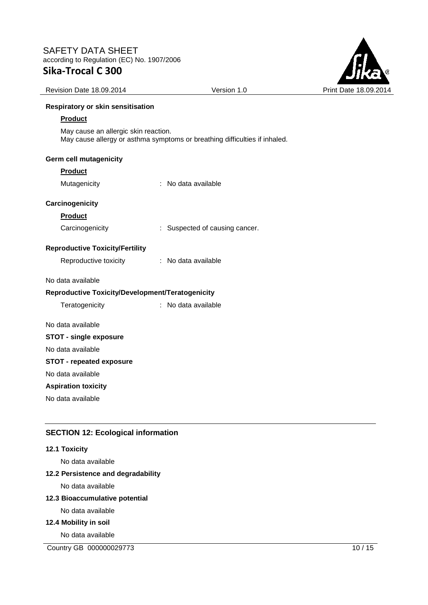

| Sika-Trocal C 300                        |                                                                            |
|------------------------------------------|----------------------------------------------------------------------------|
| Revision Date 18.09.2014                 | Version 1.0                                                                |
| <b>Respiratory or skin sensitisation</b> |                                                                            |
| <b>Product</b>                           |                                                                            |
| May cause an allergic skin reaction.     | May cause allergy or asthma symptoms or breathing difficulties if inhaled. |
| <b>Germ cell mutagenicity</b>            |                                                                            |
| <b>Product</b>                           |                                                                            |
| Mutagenicity                             | No data available                                                          |
| Carcinogenicity                          |                                                                            |
| <b>Product</b>                           |                                                                            |
| Carcinogenicity                          | : Suspected of causing cancer.                                             |
| <b>Reproductive Toxicity/Fertility</b>   |                                                                            |
| Reproductive toxicity                    | No data available                                                          |
| No data available                        |                                                                            |

# **Reproductive Toxicity/Development/Teratogenicity**

| Teratogenicity | : No data available |
|----------------|---------------------|
|                |                     |

No data available

# **STOT - single exposure**

No data available

# **STOT - repeated exposure**

No data available

# **Aspiration toxicity**

No data available

# **SECTION 12: Ecological information**

## **12.1 Toxicity**

No data available

## **12.2 Persistence and degradability**

No data available

## **12.3 Bioaccumulative potential**

No data available

## **12.4 Mobility in soil**

No data available

Country GB 000000029773 10 / 15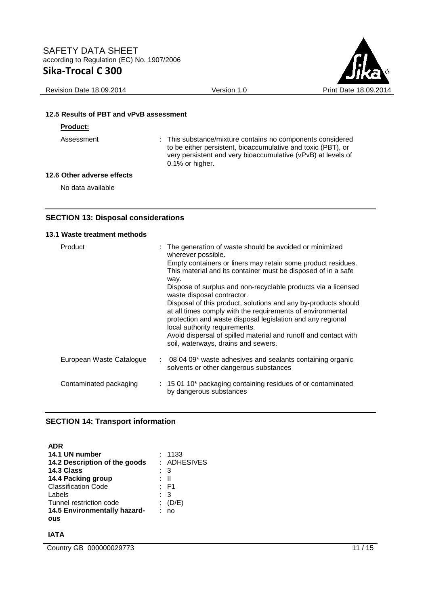

#### Revision Date 18.09.2014 Version 1.0 Version 1.0 Print Date 18.09.2014

### **12.5 Results of PBT and vPvB assessment**

#### **Product:**

Assessment : This substance/mixture contains no components considered to be either persistent, bioaccumulative and toxic (PBT), or very persistent and very bioaccumulative (vPvB) at levels of 0.1% or higher.

#### **12.6 Other adverse effects**

No data available

## **SECTION 13: Disposal considerations**

#### **13.1 Waste treatment methods**

| Product                  | : The generation of waste should be avoided or minimized<br>wherever possible.<br>Empty containers or liners may retain some product residues.<br>This material and its container must be disposed of in a safe<br>way.<br>Dispose of surplus and non-recyclable products via a licensed<br>waste disposal contractor.<br>Disposal of this product, solutions and any by-products should<br>at all times comply with the requirements of environmental<br>protection and waste disposal legislation and any regional<br>local authority requirements.<br>Avoid dispersal of spilled material and runoff and contact with<br>soil, waterways, drains and sewers. |
|--------------------------|-----------------------------------------------------------------------------------------------------------------------------------------------------------------------------------------------------------------------------------------------------------------------------------------------------------------------------------------------------------------------------------------------------------------------------------------------------------------------------------------------------------------------------------------------------------------------------------------------------------------------------------------------------------------|
| European Waste Catalogue | : 08 04 09* waste adhesives and sealants containing organic<br>solvents or other dangerous substances                                                                                                                                                                                                                                                                                                                                                                                                                                                                                                                                                           |
| Contaminated packaging   | : 15 01 10* packaging containing residues of or contaminated<br>by dangerous substances                                                                                                                                                                                                                                                                                                                                                                                                                                                                                                                                                                         |

#### **SECTION 14: Transport information**

**ADR 14.1 UN number** : 1133<br>**14.2 Description of the goods** : ADHESIVES **14.2 Description of the goods 14.3 Class** : 3 **14.4 Packing group 14.4 Packing group 14.4 Packing group 14.4 Packing Service 2016** Classification Code Labels : 3 Tunnel restriction code : (D/E) **14.5 Environmentally hazardous** : no

## **IATA**

Country GB 000000029773 11 / 15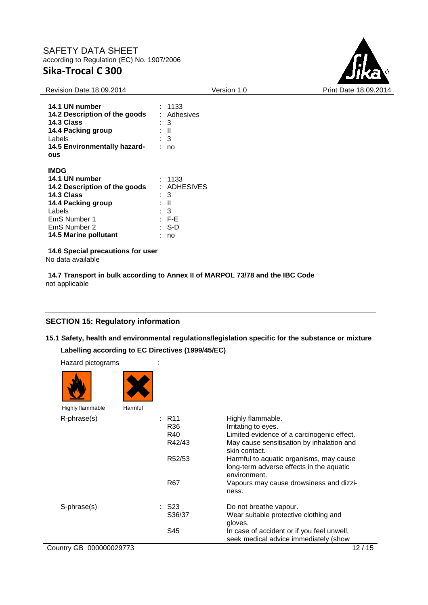

| <b>Revision Date 18.09.2014</b>                                                                                                                                       | Version 1.0                                                                                                       | Print Date 18.09.2014 |
|-----------------------------------------------------------------------------------------------------------------------------------------------------------------------|-------------------------------------------------------------------------------------------------------------------|-----------------------|
| 14.1 UN number<br>14.2 Description of the goods<br>14.3 Class<br>14.4 Packing group<br>Labels<br>14.5 Environmentally hazard-<br><b>ous</b>                           | : 1133<br>: Adhesives<br>$\therefore$ 3<br>: II<br>$\therefore$ 3<br>: no                                         |                       |
| <b>IMDG</b><br>14.1 UN number<br>14.2 Description of the goods<br>14.3 Class<br>14.4 Packing group<br>Labels<br>EmS Number 1<br>EmS Number 2<br>14.5 Marine pollutant | : 1133<br>: ADHESIVES<br>$\therefore$ 3<br>: II<br>$\therefore$ 3<br>$\therefore$ F-E<br>$\therefore$ S-D<br>: no |                       |
| 14.6 Special precautions for user                                                                                                                                     |                                                                                                                   |                       |

No data available

**14.7 Transport in bulk according to Annex II of MARPOL 73/78 and the IBC Code** not applicable

# **SECTION 15: Regulatory information**

**15.1 Safety, health and environmental regulations/legislation specific for the substance or mixture** 

**Labelling according to EC Directives (1999/45/EC)** 

| Hazard pictograms       |         |                 |                                            |
|-------------------------|---------|-----------------|--------------------------------------------|
|                         |         |                 |                                            |
| Highly flammable        | Harmful |                 |                                            |
| R-phrase(s)             |         | : R11           | Highly flammable.                          |
|                         |         | R <sub>36</sub> | Irritating to eyes.                        |
|                         |         | R40             | Limited evidence of a carcinogenic effect. |
|                         |         | R42/43          | May cause sensitisation by inhalation and  |
|                         |         |                 | skin contact.                              |
|                         |         | R52/53          | Harmful to aquatic organisms, may cause    |
|                         |         |                 | long-term adverse effects in the aquatic   |
|                         |         |                 | environment.                               |
|                         |         | R <sub>67</sub> | Vapours may cause drowsiness and dizzi-    |
|                         |         |                 | ness.                                      |
| S-phrase(s)             |         | S23             | Do not breathe vapour.                     |
|                         |         | S36/37          | Wear suitable protective clothing and      |
|                         |         |                 | gloves.                                    |
|                         |         | S45             | In case of accident or if you feel unwell, |
|                         |         |                 | seek medical advice immediately (show      |
| Country GB 000000029773 |         |                 | 12/15                                      |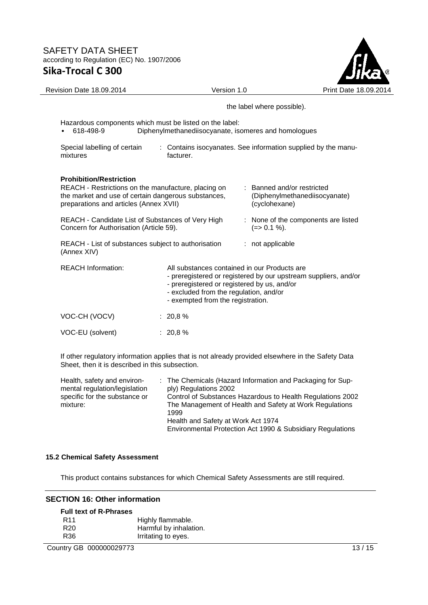

Revision Date 18.09.2014 <br>
Version 1.0 Print Date 18.09.2014 the label where possible). Hazardous components which must be listed on the label: • 618-498-9 Diphenylmethanediisocyanate, isomeres and homologues Special labelling of certain mixtures : Contains isocyanates. See information supplied by the manufacturer. **Prohibition/Restriction**  REACH - Restrictions on the manufacture, placing on the market and use of certain dangerous substances, preparations and articles (Annex XVII) : Banned and/or restricted (Diphenylmethanediisocyanate) (cyclohexane) REACH - Candidate List of Substances of Very High Concern for Authorisation (Article 59). : None of the components are listed  $(=> 0.1 \%).$ REACH - List of substances subject to authorisation (Annex XIV) : not applicable REACH Information: All substances contained in our Products are - preregistered or registered by our upstream suppliers, and/or - preregistered or registered by us, and/or - excluded from the regulation, and/or - exempted from the registration. VOC-CH (VOCV) : 20,8 % VOC-EU (solvent) : 20,8 %

If other regulatory information applies that is not already provided elsewhere in the Safety Data Sheet, then it is described in this subsection.

| Health, safety and environ-<br>mental regulation/legislation | ply) Regulations 2002 | : The Chemicals (Hazard Information and Packaging for Sup-                                                            |
|--------------------------------------------------------------|-----------------------|-----------------------------------------------------------------------------------------------------------------------|
| specific for the substance or<br>mixture:                    | 1999                  | Control of Substances Hazardous to Health Regulations 2002<br>The Management of Health and Safety at Work Regulations |
|                                                              |                       | Health and Safety at Work Act 1974<br>Environmental Protection Act 1990 & Subsidiary Regulations                      |

# **15.2 Chemical Safety Assessment**

This product contains substances for which Chemical Safety Assessments are still required.

# **SECTION 16: Other information**

# **Full text of R-Phrases**

| R <sub>11</sub> | Highly flammable.      |
|-----------------|------------------------|
| R <sub>20</sub> | Harmful by inhalation. |
| R36             | Irritating to eyes.    |

Country GB 000000029773 13 / 15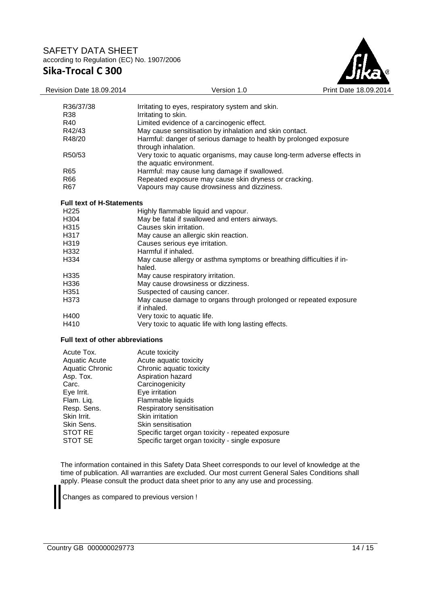

| Revision Date 18.09.2014                | Version 1.0                                                                     | Print Date 18.09 |
|-----------------------------------------|---------------------------------------------------------------------------------|------------------|
| R36/37/38                               | Irritating to eyes, respiratory system and skin.                                |                  |
| R38                                     | Irritating to skin.                                                             |                  |
| R40                                     | Limited evidence of a carcinogenic effect.                                      |                  |
| R42/43                                  | May cause sensitisation by inhalation and skin contact.                         |                  |
| R48/20                                  | Harmful: danger of serious damage to health by prolonged exposure               |                  |
|                                         | through inhalation.                                                             |                  |
| R50/53                                  | Very toxic to aquatic organisms, may cause long-term adverse effects in         |                  |
|                                         | the aquatic environment.                                                        |                  |
| R65                                     | Harmful: may cause lung damage if swallowed.                                    |                  |
| R66                                     | Repeated exposure may cause skin dryness or cracking.                           |                  |
| R <sub>67</sub>                         | Vapours may cause drowsiness and dizziness.                                     |                  |
| <b>Full text of H-Statements</b>        |                                                                                 |                  |
| H <sub>225</sub>                        | Highly flammable liquid and vapour.                                             |                  |
| H304                                    | May be fatal if swallowed and enters airways.                                   |                  |
| H315                                    | Causes skin irritation.                                                         |                  |
| H317                                    | May cause an allergic skin reaction.                                            |                  |
| H319                                    | Causes serious eye irritation.                                                  |                  |
| H332                                    | Harmful if inhaled.                                                             |                  |
| H334                                    | May cause allergy or asthma symptoms or breathing difficulties if in-<br>haled. |                  |
| H335                                    | May cause respiratory irritation.                                               |                  |
| H336                                    | May cause drowsiness or dizziness.                                              |                  |
| H351                                    | Suspected of causing cancer.                                                    |                  |
| H373                                    | May cause damage to organs through prolonged or repeated exposure               |                  |
|                                         | if inhaled.                                                                     |                  |
| H400                                    | Very toxic to aquatic life.                                                     |                  |
| H410                                    | Very toxic to aquatic life with long lasting effects.                           |                  |
| <b>Full text of other abbreviations</b> |                                                                                 |                  |
| Acute Tox.                              | Acute toxicity                                                                  |                  |

| Acute Tox.      | Acute toxicity                                     |
|-----------------|----------------------------------------------------|
| Aquatic Acute   | Acute aquatic toxicity                             |
| Aquatic Chronic | Chronic aquatic toxicity                           |
| Asp. Tox.       | Aspiration hazard                                  |
| Carc.           | Carcinogenicity                                    |
| Eye Irrit.      | Eye irritation                                     |
| Flam. Liq.      | Flammable liquids                                  |
| Resp. Sens.     | Respiratory sensitisation                          |
| Skin Irrit.     | Skin irritation                                    |
| Skin Sens.      | Skin sensitisation                                 |
| <b>STOT RE</b>  | Specific target organ toxicity - repeated exposure |
| STOT SE         | Specific target organ toxicity - single exposure   |

The information contained in this Safety Data Sheet corresponds to our level of knowledge at the time of publication. All warranties are excluded. Our most current General Sales Conditions shall apply. Please consult the product data sheet prior to any any use and processing.

Changes as compared to previous version !